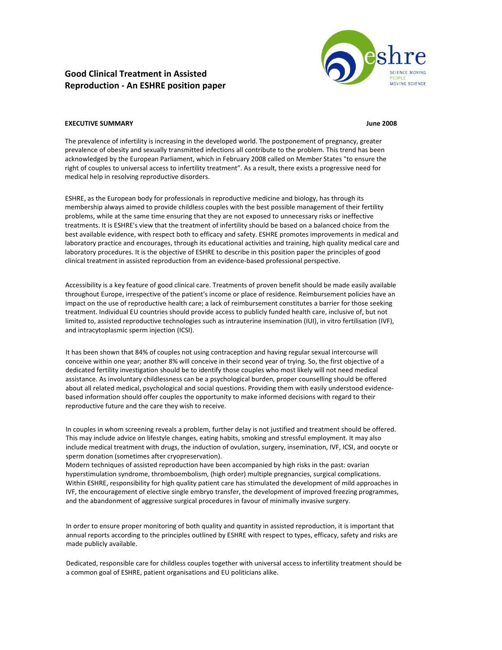# **Good Clinical Treatment in Assisted Reproduction ‐ An ESHRE position paper**



# **EXECUTIVE SUMMARY June 2008**

The prevalence of infertility is increasing in the developed world. The postponement of pregnancy, greater prevalence of obesity and sexually transmitted infections all contribute to the problem. This trend has been acknowledged by the European Parliament, which in February 2008 called on Member States "to ensure the right of couples to universal access to infertility treatment". As a result, there exists a progressive need for medical help in resolving reproductive disorders.

ESHRE, as the European body for professionals in reproductive medicine and biology, has through its membership always aimed to provide childless couples with the best possible management of their fertility problems, while at the same time ensuring that they are not exposed to unnecessary risks or ineffective treatments. It is ESHRE's view that the treatment of infertility should be based on a balanced choice from the best available evidence, with respect both to efficacy and safety. ESHRE promotes improvements in medical and laboratory practice and encourages, through its educational activities and training, high quality medical care and laboratory procedures. It is the objective of ESHRE to describe in this position paper the principles of good clinical treatment in assisted reproduction from an evidence‐based professional perspective.

Accessibility is a key feature of good clinical care. Treatments of proven benefit should be made easily available throughout Europe, irrespective of the patient's income or place of residence. Reimbursement policies have an impact on the use of reproductive health care; a lack of reimbursement constitutes a barrier for those seeking treatment. Individual EU countries should provide access to publicly funded health care, inclusive of, but not limited to, assisted reproductive technologies such as intrauterine insemination (IUI), in vitro fertilisation (IVF), and intracytoplasmic sperm injection (ICSI).

It has been shown that 84% of couples not using contraception and having regular sexual intercourse will conceive within one year; another 8% will conceive in their second year of trying. So, the first objective of a dedicated fertility investigation should be to identify those couples who most likely will not need medical assistance. As involuntary childlessness can be a psychological burden, proper counselling should be offered about all related medical, psychological and social questions. Providing them with easily understood evidence‐ based information should offer couples the opportunity to make informed decisions with regard to their reproductive future and the care they wish to receive.

In couples in whom screening reveals a problem, further delay is not justified and treatment should be offered. This may include advice on lifestyle changes, eating habits, smoking and stressful employment. It may also include medical treatment with drugs, the induction of ovulation, surgery, insemination, IVF, ICSI, and oocyte or sperm donation (sometimes after cryopreservation).

Modern techniques of assisted reproduction have been accompanied by high risks in the past: ovarian hyperstimulation syndrome, thromboembolism, (high order) multiple pregnancies, surgical complications. Within ESHRE, responsibility for high quality patient care has stimulated the development of mild approaches in IVF, the encouragement of elective single embryo transfer, the development of improved freezing programmes, and the abandonment of aggressive surgical procedures in favour of minimally invasive surgery.

In order to ensure proper monitoring of both quality and quantity in assisted reproduction, it is important that annual reports according to the principles outlined by ESHRE with respect to types, efficacy, safety and risks are made publicly available.

Dedicated, responsible care for childless couples together with universal access to infertility treatment should be a common goal of ESHRE, patient organisations and EU politicians alike.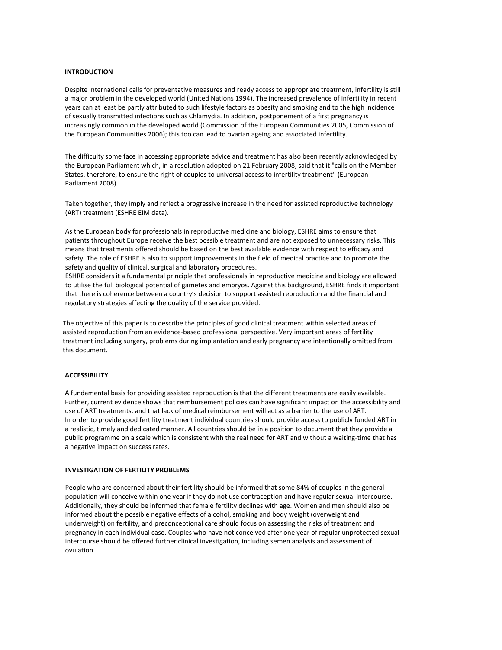# **INTRODUCTION**

Despite international calls for preventative measures and ready access to appropriate treatment, infertility is still a major problem in the developed world (United Nations 1994). The increased prevalence of infertility in recent years can at least be partly attributed to such lifestyle factors as obesity and smoking and to the high incidence of sexually transmitted infections such as Chlamydia. In addition, postponement of a first pregnancy is increasingly common in the developed world (Commission of the European Communities 2005, Commission of the European Communities 2006); this too can lead to ovarian ageing and associated infertility.

The difficulty some face in accessing appropriate advice and treatment has also been recently acknowledged by the European Parliament which, in a resolution adopted on 21 February 2008, said that it "calls on the Member States, therefore, to ensure the right of couples to universal access to infertility treatment" (European Parliament 2008).

Taken together, they imply and reflect a progressive increase in the need for assisted reproductive technology (ART) treatment (ESHRE EIM data).

As the European body for professionals in reproductive medicine and biology, ESHRE aims to ensure that patients throughout Europe receive the best possible treatment and are not exposed to unnecessary risks. This means that treatments offered should be based on the best available evidence with respect to efficacy and safety. The role of ESHRE is also to support improvements in the field of medical practice and to promote the safety and quality of clinical, surgical and laboratory procedures.

ESHRE considers it a fundamental principle that professionals in reproductive medicine and biology are allowed to utilise the full biological potential of gametes and embryos. Against this background, ESHRE finds it important that there is coherence between a country's decision to support assisted reproduction and the financial and regulatory strategies affecting the quality of the service provided.

The objective of this paper is to describe the principles of good clinical treatment within selected areas of assisted reproduction from an evidence‐based professional perspective. Very important areas of fertility treatment including surgery, problems during implantation and early pregnancy are intentionally omitted from this document.

## **ACCESSIBILITY**

A fundamental basis for providing assisted reproduction is that the different treatments are easily available. Further, current evidence shows that reimbursement policies can have significant impact on the accessibility and use of ART treatments, and that lack of medical reimbursement will act as a barrier to the use of ART. In order to provide good fertility treatment individual countries should provide access to publicly funded ART in a realistic, timely and dedicated manner. All countries should be in a position to document that they provide a public programme on a scale which is consistent with the real need for ART and without a waiting‐time that has a negative impact on success rates.

#### **INVESTIGATION OF FERTILITY PROBLEMS**

People who are concerned about their fertility should be informed that some 84% of couples in the general population will conceive within one year if they do not use contraception and have regular sexual intercourse. Additionally, they should be informed that female fertility declines with age. Women and men should also be informed about the possible negative effects of alcohol, smoking and body weight (overweight and underweight) on fertility, and preconceptional care should focus on assessing the risks of treatment and pregnancy in each individual case. Couples who have not conceived after one year of regular unprotected sexual intercourse should be offered further clinical investigation, including semen analysis and assessment of ovulation.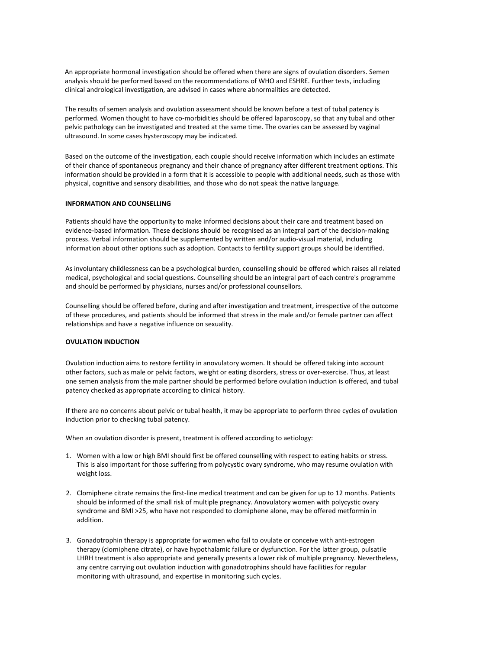An appropriate hormonal investigation should be offered when there are signs of ovulation disorders. Semen analysis should be performed based on the recommendations of WHO and ESHRE. Further tests, including clinical andrological investigation, are advised in cases where abnormalities are detected.

The results of semen analysis and ovulation assessment should be known before a test of tubal patency is performed. Women thought to have co-morbidities should be offered laparoscopy, so that any tubal and other pelvic pathology can be investigated and treated at the same time. The ovaries can be assessed by vaginal ultrasound. In some cases hysteroscopy may be indicated.

Based on the outcome of the investigation, each couple should receive information which includes an estimate of their chance of spontaneous pregnancy and their chance of pregnancy after different treatment options. This information should be provided in a form that it is accessible to people with additional needs, such as those with physical, cognitive and sensory disabilities, and those who do not speak the native language.

## **INFORMATION AND COUNSELLING**

Patients should have the opportunity to make informed decisions about their care and treatment based on evidence‐based information. These decisions should be recognised as an integral part of the decision‐making process. Verbal information should be supplemented by written and/or audio‐visual material, including information about other options such as adoption. Contacts to fertility support groups should be identified.

As involuntary childlessness can be a psychological burden, counselling should be offered which raises all related medical, psychological and social questions. Counselling should be an integral part of each centre's programme and should be performed by physicians, nurses and/or professional counsellors.

Counselling should be offered before, during and after investigation and treatment, irrespective of the outcome of these procedures, and patients should be informed that stress in the male and/or female partner can affect relationships and have a negative influence on sexuality.

#### **OVULATION INDUCTION**

Ovulation induction aims to restore fertility in anovulatory women. It should be offered taking into account other factors, such as male or pelvic factors, weight or eating disorders, stress or over‐exercise. Thus, at least one semen analysis from the male partner should be performed before ovulation induction is offered, and tubal patency checked as appropriate according to clinical history.

If there are no concerns about pelvic or tubal health, it may be appropriate to perform three cycles of ovulation induction prior to checking tubal patency.

When an ovulation disorder is present, treatment is offered according to aetiology:

- 1. Women with a low or high BMI should first be offered counselling with respect to eating habits or stress. This is also important for those suffering from polycystic ovary syndrome, who may resume ovulation with weight loss.
- 2. Clomiphene citrate remains the first-line medical treatment and can be given for up to 12 months. Patients should be informed of the small risk of multiple pregnancy. Anovulatory women with polycystic ovary syndrome and BMI >25, who have not responded to clomiphene alone, may be offered metformin in addition.
- 3. Gonadotrophin therapy is appropriate for women who fail to ovulate or conceive with anti‐estrogen therapy (clomiphene citrate), or have hypothalamic failure or dysfunction. For the latter group, pulsatile LHRH treatment is also appropriate and generally presents a lower risk of multiple pregnancy. Nevertheless, any centre carrying out ovulation induction with gonadotrophins should have facilities for regular monitoring with ultrasound, and expertise in monitoring such cycles.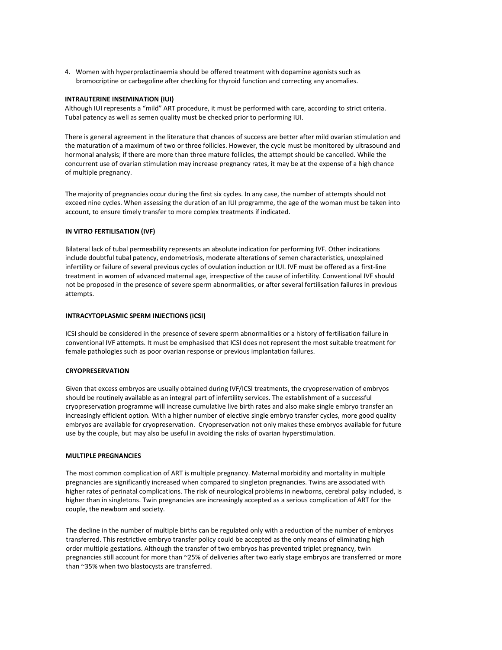4. Women with hyperprolactinaemia should be offered treatment with dopamine agonists such as bromocriptine or carbegoline after checking for thyroid function and correcting any anomalies.

## **INTRAUTERINE INSEMINATION (IUI)**

Although IUI represents a "mild" ART procedure, it must be performed with care, according to strict criteria. Tubal patency as well as semen quality must be checked prior to performing IUI.

There is general agreement in the literature that chances of success are better after mild ovarian stimulation and the maturation of a maximum of two or three follicles. However, the cycle must be monitored by ultrasound and hormonal analysis; if there are more than three mature follicles, the attempt should be cancelled. While the concurrent use of ovarian stimulation may increase pregnancy rates, it may be at the expense of a high chance of multiple pregnancy.

The majority of pregnancies occur during the first six cycles. In any case, the number of attempts should not exceed nine cycles. When assessing the duration of an IUI programme, the age of the woman must be taken into account, to ensure timely transfer to more complex treatments if indicated.

#### **IN VITRO FERTILISATION (IVF)**

Bilateral lack of tubal permeability represents an absolute indication for performing IVF. Other indications include doubtful tubal patency, endometriosis, moderate alterations of semen characteristics, unexplained infertility or failure of several previous cycles of ovulation induction or IUI. IVF must be offered as a first-line treatment in women of advanced maternal age, irrespective of the cause of infertility. Conventional IVF should not be proposed in the presence of severe sperm abnormalities, or after several fertilisation failures in previous attempts.

#### **INTRACYTOPLASMIC SPERM INJECTIONS (ICSI)**

ICSI should be considered in the presence of severe sperm abnormalities or a history of fertilisation failure in conventional IVF attempts. It must be emphasised that ICSI does not represent the most suitable treatment for female pathologies such as poor ovarian response or previous implantation failures.

# **CRYOPRESERVATION**

Given that excess embryos are usually obtained during IVF/ICSI treatments, the cryopreservation of embryos should be routinely available as an integral part of infertility services. The establishment of a successful cryopreservation programme will increase cumulative live birth rates and also make single embryo transfer an increasingly efficient option. With a higher number of elective single embryo transfer cycles, more good quality embryos are available for cryopreservation. Cryopreservation not only makes these embryos available for future use by the couple, but may also be useful in avoiding the risks of ovarian hyperstimulation.

#### **MULTIPLE PREGNANCIES**

The most common complication of ART is multiple pregnancy. Maternal morbidity and mortality in multiple pregnancies are significantly increased when compared to singleton pregnancies. Twins are associated with higher rates of perinatal complications. The risk of neurological problems in newborns, cerebral palsy included, is higher than in singletons. Twin pregnancies are increasingly accepted as a serious complication of ART for the couple, the newborn and society.

The decline in the number of multiple births can be regulated only with a reduction of the number of embryos transferred. This restrictive embryo transfer policy could be accepted as the only means of eliminating high order multiple gestations. Although the transfer of two embryos has prevented triplet pregnancy, twin pregnancies still account for more than ~25% of deliveries after two early stage embryos are transferred or more than ~35% when two blastocysts are transferred.